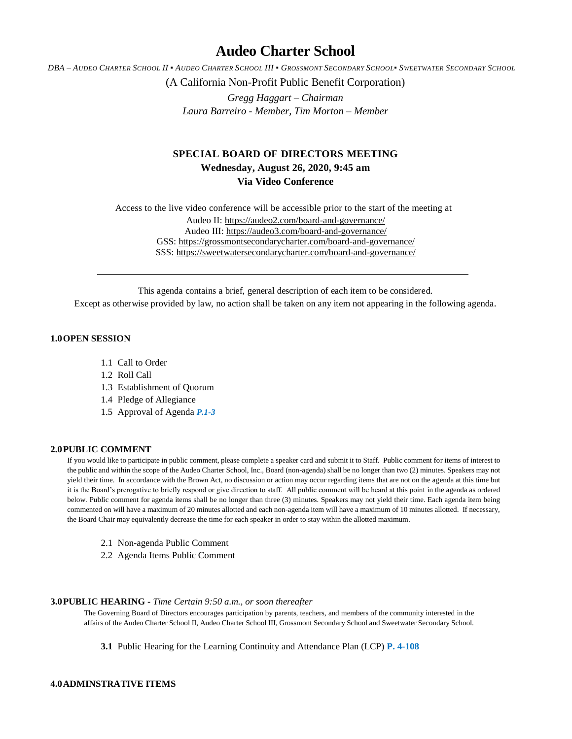# **Audeo Charter School**

DBA - AUDEO CHARTER SCHOOL II . AUDEO CHARTER SCHOOL III . GROSSMONT SECONDARY SCHOOL. SWEETWATER SECONDARY SCHOOL

(A California Non-Profit Public Benefit Corporation)

*Gregg Haggart – Chairman Laura Barreiro - Member, Tim Morton – Member*

## **SPECIAL BOARD OF DIRECTORS MEETING Wednesday, August 26, 2020, 9:45 am Via Video Conference**

Access to the live video conference will be accessible prior to the start of the meeting at Audeo II[: https://audeo2.com/board-and-governance/](https://audeo2.com/board-and-governance/) Audeo III:<https://audeo3.com/board-and-governance/> GSS:<https://grossmontsecondarycharter.com/board-and-governance/> SSS:<https://sweetwatersecondarycharter.com/board-and-governance/>

This agenda contains a brief, general description of each item to be considered. Except as otherwise provided by law, no action shall be taken on any item not appearing in the following agenda.

## **1.0OPEN SESSION**

- 1.1 Call to Order
- 1.2 Roll Call
- 1.3 Establishment of Quorum
- 1.4 Pledge of Allegiance
- 1.5 Approval of Agenda *P.1-3*

#### **2.0PUBLIC COMMENT**

If you would like to participate in public comment, please complete a speaker card and submit it to Staff. Public comment for items of interest to the public and within the scope of the Audeo Charter School, Inc., Board (non-agenda) shall be no longer than two (2) minutes. Speakers may not yield their time. In accordance with the Brown Act, no discussion or action may occur regarding items that are not on the agenda at this time but it is the Board's prerogative to briefly respond or give direction to staff. All public comment will be heard at this point in the agenda as ordered below. Public comment for agenda items shall be no longer than three (3) minutes. Speakers may not yield their time. Each agenda item being commented on will have a maximum of 20 minutes allotted and each non-agenda item will have a maximum of 10 minutes allotted. If necessary, the Board Chair may equivalently decrease the time for each speaker in order to stay within the allotted maximum.

- 2.1 Non-agenda Public Comment
- 2.2 Agenda Items Public Comment

### **3.0PUBLIC HEARING -** *Time Certain 9:50 a.m., or soon thereafter*

The Governing Board of Directors encourages participation by parents, teachers, and members of the community interested in the affairs of the Audeo Charter School II, Audeo Charter School III, Grossmont Secondary School and Sweetwater Secondary School.

**3.1** Public Hearing for the Learning Continuity and Attendance Plan (LCP) **P. 4-108**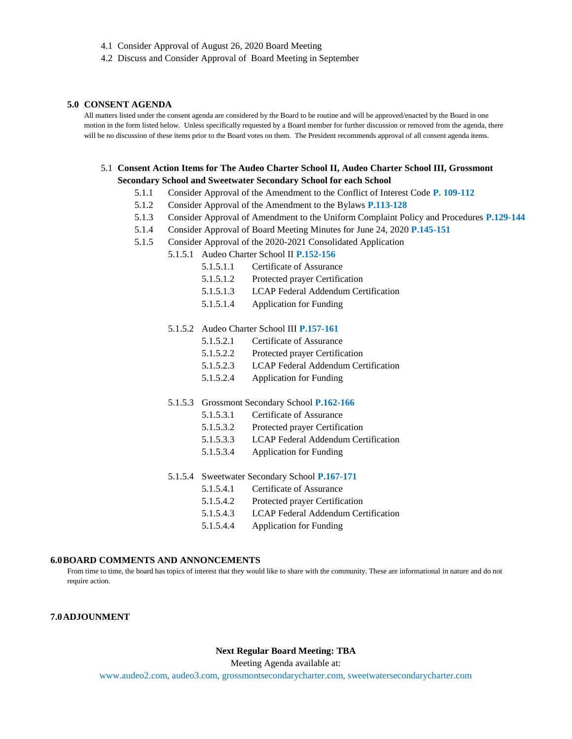- 4.1 Consider Approval of August 26, 2020 Board Meeting
- 4.2 Discuss and Consider Approval of Board Meeting in September

#### **5.0 CONSENT AGENDA**

All matters listed under the consent agenda are considered by the Board to be routine and will be approved/enacted by the Board in one motion in the form listed below. Unless specifically requested by a Board member for further discussion or removed from the agenda, there will be no discussion of these items prior to the Board votes on them. The President recommends approval of all consent agenda items.

## 5.1 **Consent Action Items for The Audeo Charter School II, Audeo Charter School III, Grossmont Secondary School and Sweetwater Secondary School for each School**

- 5.1.1 Consider Approval of the Amendment to the Conflict of Interest Code **P. 109-112**
- 5.1.2 Consider Approval of the Amendment to the Bylaws **P.113-128**
- 5.1.3 Consider Approval of Amendment to the Uniform Complaint Policy and Procedures **P.129-144**
- 5.1.4 Consider Approval of Board Meeting Minutes for June 24, 2020 **P.145-151**
- 5.1.5 Consider Approval of the 2020-2021 Consolidated Application
	- 5.1.5.1 Audeo Charter School II **P.152-156**
		- 5.1.5.1.1 Certificate of Assurance
		- 5.1.5.1.2 Protected prayer Certification
		- 5.1.5.1.3 LCAP Federal Addendum Certification
		- 5.1.5.1.4 Application for Funding

#### 5.1.5.2 Audeo Charter School III **P.157-161**

- 5.1.5.2.1 Certificate of Assurance
- 5.1.5.2.2 Protected prayer Certification
- 5.1.5.2.3 LCAP Federal Addendum Certification
- 5.1.5.2.4 Application for Funding

#### 5.1.5.3 Grossmont Secondary School **P.162-166**

- 5.1.5.3.1 Certificate of Assurance
- 5.1.5.3.2 Protected prayer Certification
- 5.1.5.3.3 LCAP Federal Addendum Certification
- 5.1.5.3.4 Application for Funding
- 5.1.5.4 Sweetwater Secondary School **P.167-171**
	- 5.1.5.4.1 Certificate of Assurance
	- 5.1.5.4.2 Protected prayer Certification
	- 5.1.5.4.3 LCAP Federal Addendum Certification
	- 5.1.5.4.4 Application for Funding

#### **6.0BOARD COMMENTS AND ANNONCEMENTS**

From time to time, the board has topics of interest that they would like to share with the community. These are informational in nature and do not require action.

## **7.0ADJOUNMENT**

## **Next Regular Board Meeting: TBA**

Meeting Agenda available at:

[www.audeo2.com,](http://www.audeo2.com/) audeo3.com, grossmontsecondarycharter.com, sweetwatersecondarycharter.com